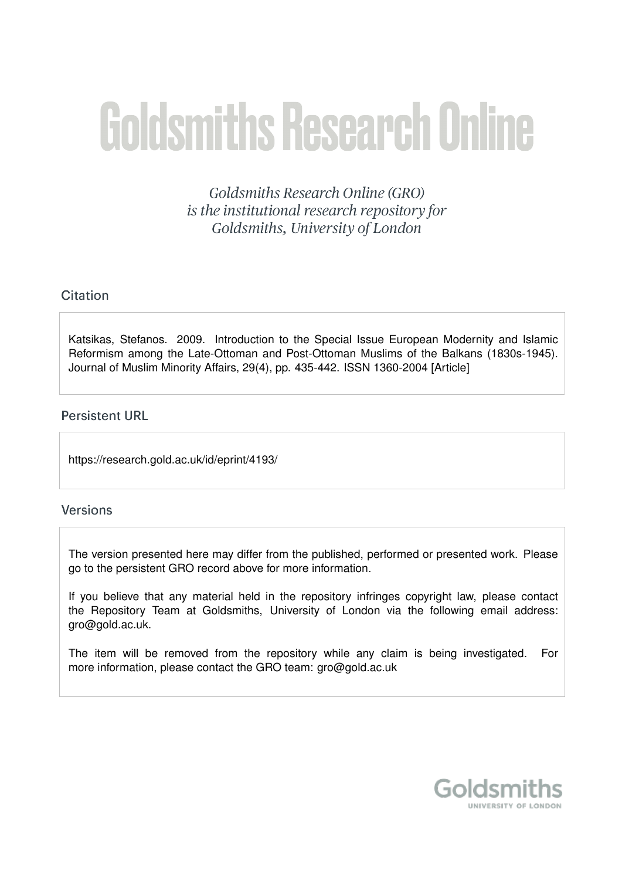# **Goldsmiths Research Online**

Goldsmiths Research Online (GRO) is the institutional research repository for Goldsmiths, University of London

## Citation

Katsikas, Stefanos. 2009. Introduction to the Special Issue European Modernity and Islamic Reformism among the Late-Ottoman and Post-Ottoman Muslims of the Balkans (1830s-1945). Journal of Muslim Minority Affairs, 29(4), pp. 435-442. ISSN 1360-2004 [Article]

### **Persistent URL**

https://research.gold.ac.uk/id/eprint/4193/

#### **Versions**

The version presented here may differ from the published, performed or presented work. Please go to the persistent GRO record above for more information.

If you believe that any material held in the repository infringes copyright law, please contact the Repository Team at Goldsmiths, University of London via the following email address: gro@gold.ac.uk.

The item will be removed from the repository while any claim is being investigated. For more information, please contact the GRO team: gro@gold.ac.uk

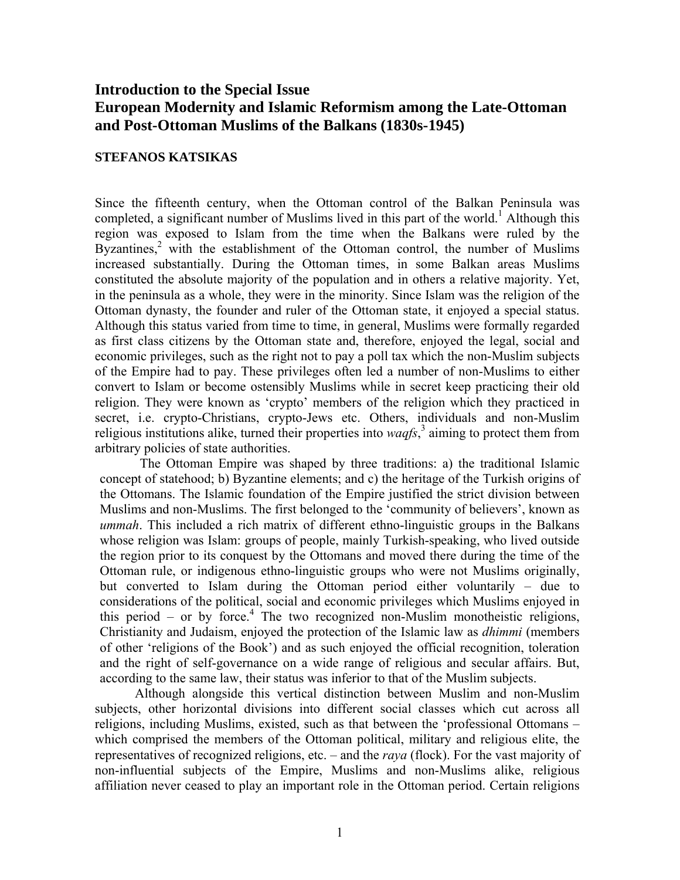# **Introduction to the Special Issue European Modernity and Islamic Reformism among the Late-Ottoman and Post-Ottoman Muslims of the Balkans (1830s-1945)**

#### **STEFANOS KATSIKAS**

Since the fifteenth century, when the Ottoman control of the Balkan Peninsula was completed, a significant number of Muslims lived in this part of the world.<sup>1</sup> Although this region was exposed to Islam from the time when the Balkans were ruled by the Byzantines, $2$  with the establishment of the Ottoman control, the number of Muslims increased substantially. During the Ottoman times, in some Balkan areas Muslims constituted the absolute majority of the population and in others a relative majority. Yet, in the peninsula as a whole, they were in the minority. Since Islam was the religion of the Ottoman dynasty, the founder and ruler of the Ottoman state, it enjoyed a special status. Although this status varied from time to time, in general, Muslims were formally regarded as first class citizens by the Ottoman state and, therefore, enjoyed the legal, social and economic privileges, such as the right not to pay a poll tax which the non-Muslim subjects of the Empire had to pay. These privileges often led a number of non-Muslims to either convert to Islam or become ostensibly Muslims while in secret keep practicing their old religion. They were known as 'crypto' members of the religion which they practiced in secret, i.e. crypto-Christians, crypto-Jews etc. Others, individuals and non-Muslim religious institutions alike, turned their properties into *waqfs*,<sup>3</sup> aiming to protect them from arbitrary policies of state authorities.

 The Ottoman Empire was shaped by three traditions: a) the traditional Islamic concept of statehood; b) Byzantine elements; and c) the heritage of the Turkish origins of the Ottomans. The Islamic foundation of the Empire justified the strict division between Muslims and non-Muslims. The first belonged to the 'community of believers', known as *ummah*. This included a rich matrix of different ethno-linguistic groups in the Balkans whose religion was Islam: groups of people, mainly Turkish-speaking, who lived outside the region prior to its conquest by the Ottomans and moved there during the time of the Ottoman rule, or indigenous ethno-linguistic groups who were not Muslims originally, but converted to Islam during the Ottoman period either voluntarily – due to considerations of the political, social and economic privileges which Muslims enjoyed in this period – or by force.<sup>4</sup> The two recognized non-Muslim monotheistic religions, Christianity and Judaism, enjoyed the protection of the Islamic law as *dhimmi* (members of other 'religions of the Book') and as such enjoyed the official recognition, toleration and the right of self-governance on a wide range of religious and secular affairs. But, according to the same law, their status was inferior to that of the Muslim subjects.

Although alongside this vertical distinction between Muslim and non-Muslim subjects, other horizontal divisions into different social classes which cut across all religions, including Muslims, existed, such as that between the 'professional Ottomans – which comprised the members of the Ottoman political, military and religious elite, the representatives of recognized religions, etc. – and the *raya* (flock). For the vast majority of non-influential subjects of the Empire, Muslims and non-Muslims alike, religious affiliation never ceased to play an important role in the Ottoman period. Certain religions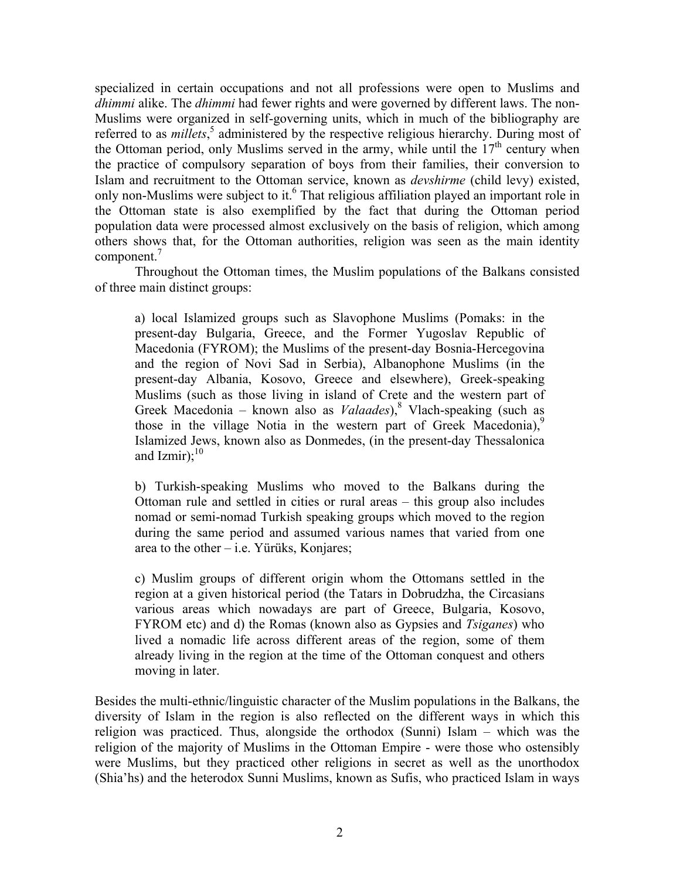specialized in certain occupations and not all professions were open to Muslims and *dhimmi* alike. The *dhimmi* had fewer rights and were governed by different laws. The non-Muslims were organized in self-governing units, which in much of the bibliography are referred to as *millets*,<sup>5</sup> administered by the respective religious hierarchy. During most of the Ottoman period, only Muslims served in the army, while until the  $17<sup>th</sup>$  century when the practice of compulsory separation of boys from their families, their conversion to Islam and recruitment to the Ottoman service, known as *devshirme* (child levy) existed, only non-Muslims were subject to it.<sup>6</sup> That religious affiliation played an important role in the Ottoman state is also exemplified by the fact that during the Ottoman period population data were processed almost exclusively on the basis of religion, which among others shows that, for the Ottoman authorities, religion was seen as the main identity component.<sup>7</sup>

Throughout the Ottoman times, the Muslim populations of the Balkans consisted of three main distinct groups:

a) local Islamized groups such as Slavophone Muslims (Pomaks: in the present-day Bulgaria, Greece, and the Former Yugoslav Republic of Macedonia (FYROM); the Muslims of the present-day Bosnia-Hercegovina and the region of Novi Sad in Serbia), Albanophone Muslims (in the present-day Albania, Kosovo, Greece and elsewhere), Greek-speaking Muslims (such as those living in island of Crete and the western part of Greek Macedonia - known also as *Valaades*),<sup>8</sup> Vlach-speaking (such as those in the village Notia in the western part of Greek Macedonia),<sup>9</sup> Islamized Jews, known also as Donmedes, (in the present-day Thessalonica and Izmir); $^{10}$ 

b) Turkish-speaking Muslims who moved to the Balkans during the Ottoman rule and settled in cities or rural areas – this group also includes nomad or semi-nomad Turkish speaking groups which moved to the region during the same period and assumed various names that varied from one area to the other  $-$  i.e. Yürüks, Konjares;

c) Muslim groups of different origin whom the Ottomans settled in the region at a given historical period (the Tatars in Dobrudzha, the Circasians various areas which nowadays are part of Greece, Bulgaria, Kosovo, FYROM etc) and d) the Romas (known also as Gypsies and *Tsiganes*) who lived a nomadic life across different areas of the region, some of them already living in the region at the time of the Ottoman conquest and others moving in later.

Besides the multi-ethnic/linguistic character of the Muslim populations in the Balkans, the diversity of Islam in the region is also reflected on the different ways in which this religion was practiced. Thus, alongside the orthodox (Sunni) Islam – which was the religion of the majority of Muslims in the Ottoman Empire - were those who ostensibly were Muslims, but they practiced other religions in secret as well as the unorthodox (Shia'hs) and the heterodox Sunni Muslims, known as Sufis, who practiced Islam in ways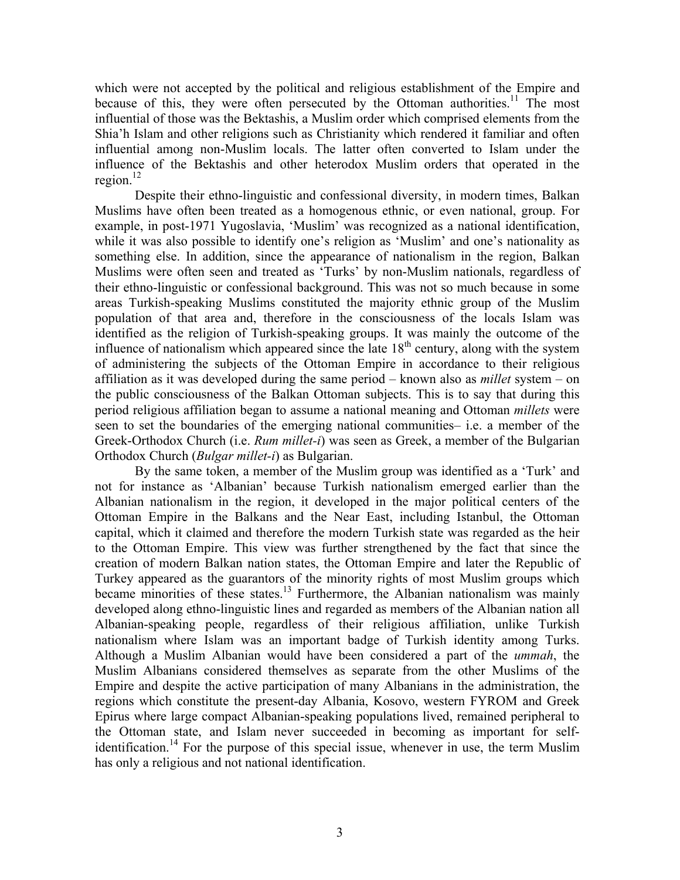which were not accepted by the political and religious establishment of the Empire and because of this, they were often persecuted by the Ottoman authorities.<sup>11</sup> The most influential of those was the Bektashis, a Muslim order which comprised elements from the Shia'h Islam and other religions such as Christianity which rendered it familiar and often influential among non-Muslim locals. The latter often converted to Islam under the influence of the Bektashis and other heterodox Muslim orders that operated in the region. $^{12}$ 

Despite their ethno-linguistic and confessional diversity, in modern times, Balkan Muslims have often been treated as a homogenous ethnic, or even national, group. For example, in post-1971 Yugoslavia, 'Muslim' was recognized as a national identification, while it was also possible to identify one's religion as 'Muslim' and one's nationality as something else. In addition, since the appearance of nationalism in the region, Balkan Muslims were often seen and treated as 'Turks' by non-Muslim nationals, regardless of their ethno-linguistic or confessional background. This was not so much because in some areas Turkish-speaking Muslims constituted the majority ethnic group of the Muslim population of that area and, therefore in the consciousness of the locals Islam was identified as the religion of Turkish-speaking groups. It was mainly the outcome of the influence of nationalism which appeared since the late  $18<sup>th</sup>$  century, along with the system of administering the subjects of the Ottoman Empire in accordance to their religious affiliation as it was developed during the same period – known also as *millet* system – on the public consciousness of the Balkan Ottoman subjects. This is to say that during this period religious affiliation began to assume a national meaning and Ottoman *millets* were seen to set the boundaries of the emerging national communities– i.e. a member of the Greek-Orthodox Church (i.e. *Rum millet-i*) was seen as Greek, a member of the Bulgarian Orthodox Church (*Bulgar millet-i*) as Bulgarian.

By the same token, a member of the Muslim group was identified as a 'Turk' and not for instance as 'Albanian' because Turkish nationalism emerged earlier than the Albanian nationalism in the region, it developed in the major political centers of the Ottoman Empire in the Balkans and the Near East, including Istanbul, the Ottoman capital, which it claimed and therefore the modern Turkish state was regarded as the heir to the Ottoman Empire. This view was further strengthened by the fact that since the creation of modern Balkan nation states, the Ottoman Empire and later the Republic of Turkey appeared as the guarantors of the minority rights of most Muslim groups which became minorities of these states.<sup>13</sup> Furthermore, the Albanian nationalism was mainly developed along ethno-linguistic lines and regarded as members of the Albanian nation all Albanian-speaking people, regardless of their religious affiliation, unlike Turkish nationalism where Islam was an important badge of Turkish identity among Turks. Although a Muslim Albanian would have been considered a part of the *ummah*, the Muslim Albanians considered themselves as separate from the other Muslims of the Empire and despite the active participation of many Albanians in the administration, the regions which constitute the present-day Albania, Kosovo, western FYROM and Greek Epirus where large compact Albanian-speaking populations lived, remained peripheral to the Ottoman state, and Islam never succeeded in becoming as important for selfidentification.<sup>14</sup> For the purpose of this special issue, whenever in use, the term Muslim has only a religious and not national identification.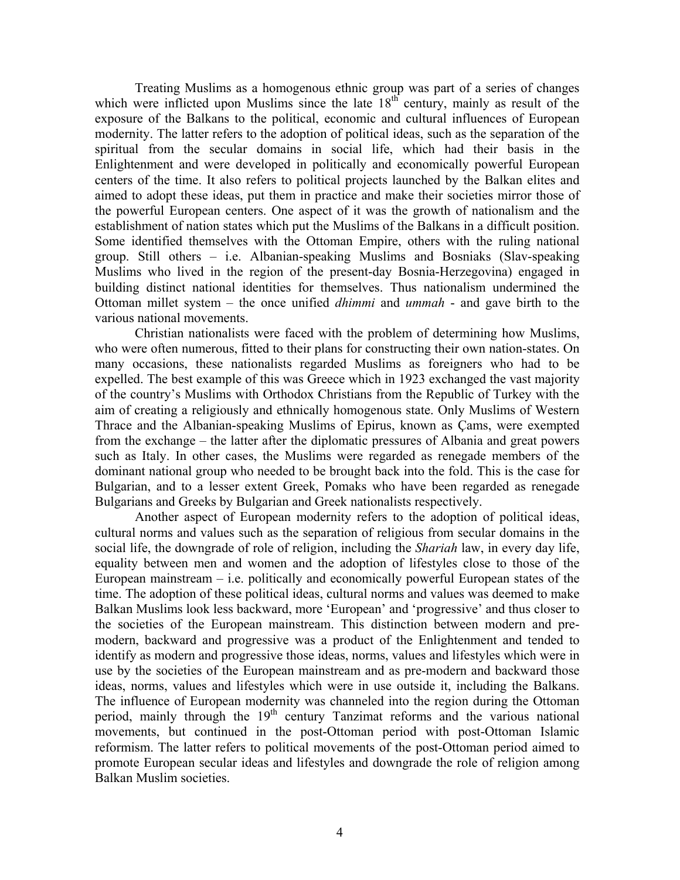Treating Muslims as a homogenous ethnic group was part of a series of changes which were inflicted upon Muslims since the late  $18<sup>th</sup>$  century, mainly as result of the exposure of the Balkans to the political, economic and cultural influences of European modernity. The latter refers to the adoption of political ideas, such as the separation of the spiritual from the secular domains in social life, which had their basis in the Enlightenment and were developed in politically and economically powerful European centers of the time. It also refers to political projects launched by the Balkan elites and aimed to adopt these ideas, put them in practice and make their societies mirror those of the powerful European centers. One aspect of it was the growth of nationalism and the establishment of nation states which put the Muslims of the Balkans in a difficult position. Some identified themselves with the Ottoman Empire, others with the ruling national group. Still others – i.e. Albanian-speaking Muslims and Bosniaks (Slav-speaking Muslims who lived in the region of the present-day Bosnia-Herzegovina) engaged in building distinct national identities for themselves. Thus nationalism undermined the Ottoman millet system – the once unified *dhimmi* and *ummah* - and gave birth to the various national movements.

Christian nationalists were faced with the problem of determining how Muslims, who were often numerous, fitted to their plans for constructing their own nation-states. On many occasions, these nationalists regarded Muslims as foreigners who had to be expelled. The best example of this was Greece which in 1923 exchanged the vast majority of the country's Muslims with Orthodox Christians from the Republic of Turkey with the aim of creating a religiously and ethnically homogenous state. Only Muslims of Western Thrace and the Albanian-speaking Muslims of Epirus, known as Çams, were exempted from the exchange – the latter after the diplomatic pressures of Albania and great powers such as Italy. In other cases, the Muslims were regarded as renegade members of the dominant national group who needed to be brought back into the fold. This is the case for Bulgarian, and to a lesser extent Greek, Pomaks who have been regarded as renegade Bulgarians and Greeks by Bulgarian and Greek nationalists respectively.

Another aspect of European modernity refers to the adoption of political ideas, cultural norms and values such as the separation of religious from secular domains in the social life, the downgrade of role of religion, including the *Shariah* law, in every day life, equality between men and women and the adoption of lifestyles close to those of the European mainstream  $-$  i.e. politically and economically powerful European states of the time. The adoption of these political ideas, cultural norms and values was deemed to make Balkan Muslims look less backward, more 'European' and 'progressive' and thus closer to the societies of the European mainstream. This distinction between modern and premodern, backward and progressive was a product of the Enlightenment and tended to identify as modern and progressive those ideas, norms, values and lifestyles which were in use by the societies of the European mainstream and as pre-modern and backward those ideas, norms, values and lifestyles which were in use outside it, including the Balkans. The influence of European modernity was channeled into the region during the Ottoman period, mainly through the  $19<sup>th</sup>$  century Tanzimat reforms and the various national movements, but continued in the post-Ottoman period with post-Ottoman Islamic reformism. The latter refers to political movements of the post-Ottoman period aimed to promote European secular ideas and lifestyles and downgrade the role of religion among Balkan Muslim societies.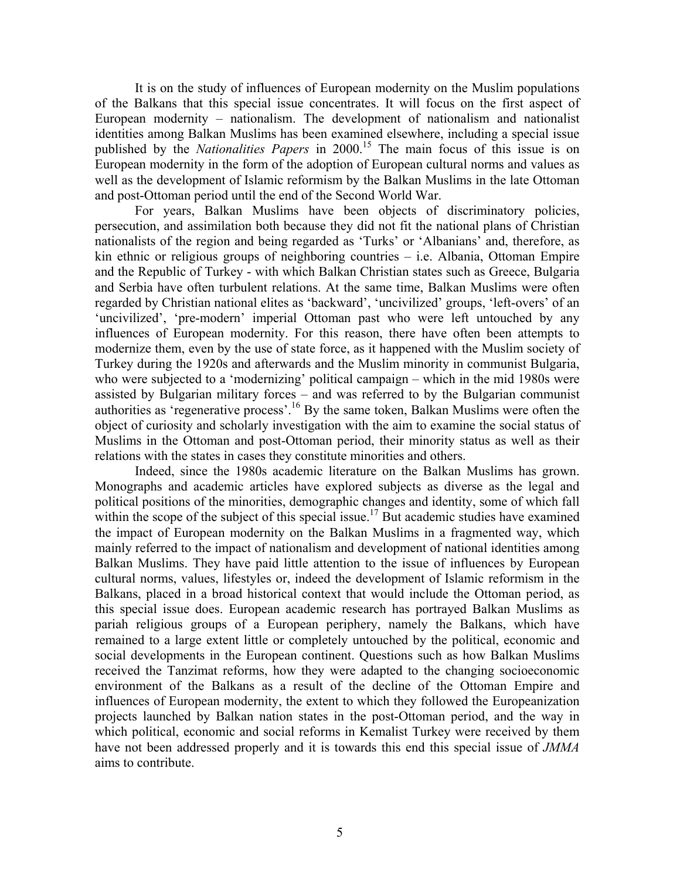It is on the study of influences of European modernity on the Muslim populations of the Balkans that this special issue concentrates. It will focus on the first aspect of European modernity – nationalism. The development of nationalism and nationalist identities among Balkan Muslims has been examined elsewhere, including a special issue published by the *Nationalities Papers* in 2000.<sup>15</sup> The main focus of this issue is on European modernity in the form of the adoption of European cultural norms and values as well as the development of Islamic reformism by the Balkan Muslims in the late Ottoman and post-Ottoman period until the end of the Second World War.

For years, Balkan Muslims have been objects of discriminatory policies, persecution, and assimilation both because they did not fit the national plans of Christian nationalists of the region and being regarded as 'Turks' or 'Albanians' and, therefore, as kin ethnic or religious groups of neighboring countries – i.e. Albania, Ottoman Empire and the Republic of Turkey - with which Balkan Christian states such as Greece, Bulgaria and Serbia have often turbulent relations. At the same time, Balkan Muslims were often regarded by Christian national elites as 'backward', 'uncivilized' groups, 'left-overs' of an 'uncivilized', 'pre-modern' imperial Ottoman past who were left untouched by any influences of European modernity. For this reason, there have often been attempts to modernize them, even by the use of state force, as it happened with the Muslim society of Turkey during the 1920s and afterwards and the Muslim minority in communist Bulgaria, who were subjected to a 'modernizing' political campaign – which in the mid 1980s were assisted by Bulgarian military forces – and was referred to by the Bulgarian communist authorities as 'regenerative process'.16 By the same token, Balkan Muslims were often the object of curiosity and scholarly investigation with the aim to examine the social status of Muslims in the Ottoman and post-Ottoman period, their minority status as well as their relations with the states in cases they constitute minorities and others.

Indeed, since the 1980s academic literature on the Balkan Muslims has grown. Monographs and academic articles have explored subjects as diverse as the legal and political positions of the minorities, demographic changes and identity, some of which fall within the scope of the subject of this special issue.<sup>17</sup> But academic studies have examined the impact of European modernity on the Balkan Muslims in a fragmented way, which mainly referred to the impact of nationalism and development of national identities among Balkan Muslims. They have paid little attention to the issue of influences by European cultural norms, values, lifestyles or, indeed the development of Islamic reformism in the Balkans, placed in a broad historical context that would include the Ottoman period, as this special issue does. European academic research has portrayed Balkan Muslims as pariah religious groups of a European periphery, namely the Balkans, which have remained to a large extent little or completely untouched by the political, economic and social developments in the European continent. Questions such as how Balkan Muslims received the Tanzimat reforms, how they were adapted to the changing socioeconomic environment of the Balkans as a result of the decline of the Ottoman Empire and influences of European modernity, the extent to which they followed the Europeanization projects launched by Balkan nation states in the post-Ottoman period, and the way in which political, economic and social reforms in Kemalist Turkey were received by them have not been addressed properly and it is towards this end this special issue of *JMMA* aims to contribute.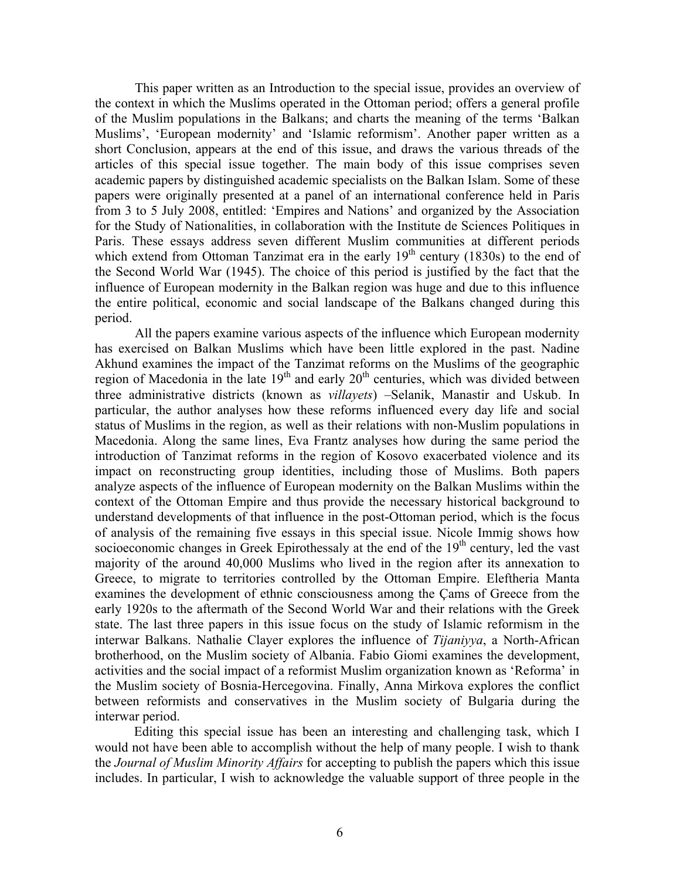This paper written as an Introduction to the special issue, provides an overview of the context in which the Muslims operated in the Ottoman period; offers a general profile of the Muslim populations in the Balkans; and charts the meaning of the terms 'Balkan Muslims', 'European modernity' and 'Islamic reformism'. Another paper written as a short Conclusion, appears at the end of this issue, and draws the various threads of the articles of this special issue together. The main body of this issue comprises seven academic papers by distinguished academic specialists on the Balkan Islam. Some of these papers were originally presented at a panel of an international conference held in Paris from 3 to 5 July 2008, entitled: 'Empires and Nations' and organized by the Association for the Study of Nationalities, in collaboration with the Institute de Sciences Politiques in Paris. These essays address seven different Muslim communities at different periods which extend from Ottoman Tanzimat era in the early  $19<sup>th</sup>$  century (1830s) to the end of the Second World War (1945). The choice of this period is justified by the fact that the influence of European modernity in the Balkan region was huge and due to this influence the entire political, economic and social landscape of the Balkans changed during this period.

All the papers examine various aspects of the influence which European modernity has exercised on Balkan Muslims which have been little explored in the past. Nadine Akhund examines the impact of the Tanzimat reforms on the Muslims of the geographic region of Macedonia in the late  $19<sup>th</sup>$  and early  $20<sup>th</sup>$  centuries, which was divided between three administrative districts (known as *villayets*) –Selanik, Manastir and Uskub. In particular, the author analyses how these reforms influenced every day life and social status of Muslims in the region, as well as their relations with non-Muslim populations in Macedonia. Along the same lines, Eva Frantz analyses how during the same period the introduction of Tanzimat reforms in the region of Kosovo exacerbated violence and its impact on reconstructing group identities, including those of Muslims. Both papers analyze aspects of the influence of European modernity on the Balkan Muslims within the context of the Ottoman Empire and thus provide the necessary historical background to understand developments of that influence in the post-Ottoman period, which is the focus of analysis of the remaining five essays in this special issue. Nicole Immig shows how socioeconomic changes in Greek Epirothessaly at the end of the  $19<sup>th</sup>$  century, led the vast majority of the around 40,000 Muslims who lived in the region after its annexation to Greece, to migrate to territories controlled by the Ottoman Empire. Eleftheria Manta examines the development of ethnic consciousness among the Çams of Greece from the early 1920s to the aftermath of the Second World War and their relations with the Greek state. The last three papers in this issue focus on the study of Islamic reformism in the interwar Balkans. Nathalie Clayer explores the influence of *Tijaniyya*, a North-African brotherhood, on the Muslim society of Albania. Fabio Giomi examines the development, activities and the social impact of a reformist Muslim organization known as 'Reforma' in the Muslim society of Bosnia-Hercegovina. Finally, Anna Mirkova explores the conflict between reformists and conservatives in the Muslim society of Bulgaria during the interwar period.

Editing this special issue has been an interesting and challenging task, which I would not have been able to accomplish without the help of many people. I wish to thank the *Journal of Muslim Minority Affairs* for accepting to publish the papers which this issue includes. In particular, I wish to acknowledge the valuable support of three people in the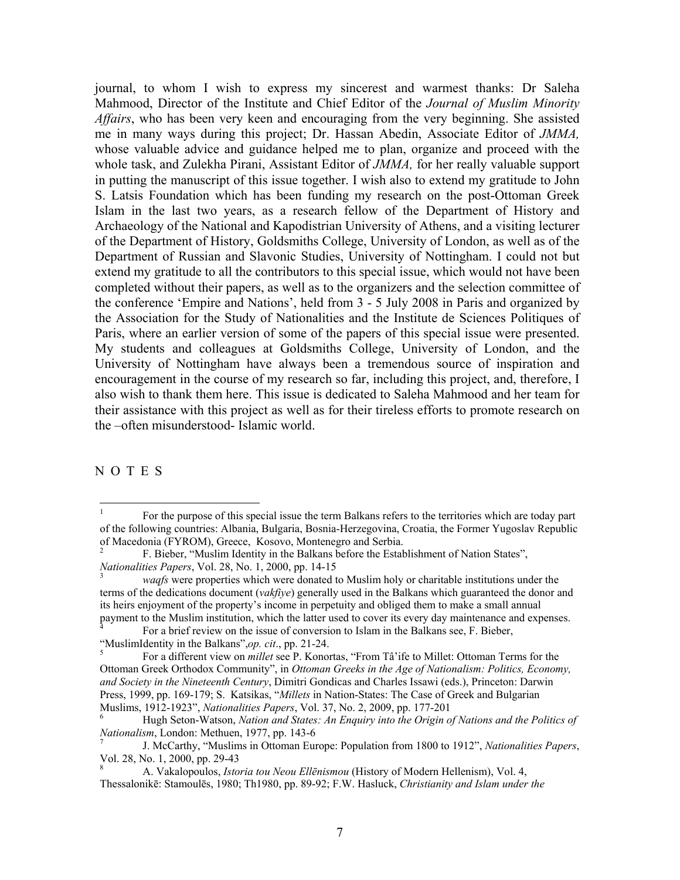journal, to whom I wish to express my sincerest and warmest thanks: Dr Saleha Mahmood, Director of the Institute and Chief Editor of the *Journal of Muslim Minority Affairs*, who has been very keen and encouraging from the very beginning. She assisted me in many ways during this project; Dr. Hassan Abedin, Associate Editor of *JMMA,*  whose valuable advice and guidance helped me to plan, organize and proceed with the whole task, and Zulekha Pirani, Assistant Editor of *JMMA,* for her really valuable support in putting the manuscript of this issue together. I wish also to extend my gratitude to John S. Latsis Foundation which has been funding my research on the post-Ottoman Greek Islam in the last two years, as a research fellow of the Department of History and Archaeology of the National and Kapodistrian University of Athens, and a visiting lecturer of the Department of History, Goldsmiths College, University of London, as well as of the Department of Russian and Slavonic Studies, University of Nottingham. I could not but extend my gratitude to all the contributors to this special issue, which would not have been completed without their papers, as well as to the organizers and the selection committee of the conference 'Empire and Nations', held from 3 - 5 July 2008 in Paris and organized by the Association for the Study of Nationalities and the Institute de Sciences Politiques of Paris, where an earlier version of some of the papers of this special issue were presented. My students and colleagues at Goldsmiths College, University of London, and the University of Nottingham have always been a tremendous source of inspiration and encouragement in the course of my research so far, including this project, and, therefore, I also wish to thank them here. This issue is dedicated to Saleha Mahmood and her team for their assistance with this project as well as for their tireless efforts to promote research on the –often misunderstood- Islamic world.

#### NOTES

 $\frac{1}{1}$  For the purpose of this special issue the term Balkans refers to the territories which are today part of the following countries: Albania, Bulgaria, Bosnia-Herzegovina, Croatia, the Former Yugoslav Republic of Macedonia (FYROM), Greece, Kosovo, Montenegro and Serbia. 2

F. Bieber, "Muslim Identity in the Balkans before the Establishment of Nation States", *Nationalities Papers*, Vol. 28, No. 1, 2000, pp. 14-15

*waqfs* were properties which were donated to Muslim holy or charitable institutions under the terms of the dedications document (*vakfiye*) generally used in the Balkans which guaranteed the donor and its heirs enjoyment of the property's income in perpetuity and obliged them to make a small annual payment to the Muslim institution, which the latter used to cover its every day maintenance and expenses.

<sup>4</sup> For a brief review on the issue of conversion to Islam in the Balkans see, F. Bieber, "MuslimIdentity in the Balkans",*op. cit*., pp. 21-24. 5

For a different view on *millet* see P. Konortas, "From Tâ'ife to Millet: Ottoman Terms for the Ottoman Greek Orthodox Community", in *Ottoman Greeks in the Age of Nationalism: Politics, Economy, and Society in the Nineteenth Century*, Dimitri Gondicas and Charles Issawi (eds.), Princeton: Darwin Press, 1999, pp. 169-179; S. Katsikas, "*Millets* in Nation-States: The Case of Greek and Bulgarian Muslims, 1912-1923", *Nationalities Papers*, Vol. 37, No. 2, 2009, pp. 177-201 6

Hugh Seton-Watson, *Nation and States: An Enquiry into the Origin of Nations and the Politics of Nationalism*, London: Methuen, 1977, pp. 143-6 7

J. McCarthy, "Muslims in Ottoman Europe: Population from 1800 to 1912", *Nationalities Papers*, Vol. 28, No. 1, 2000, pp. 29-43

<sup>8</sup> A. Vakalopoulos, *Istoria tou Neou Ellēnismou* (History of Modern Hellenism), Vol. 4, Thessalonikē: Stamoulēs, 1980; Th1980, pp. 89-92; F.W. Hasluck, *Christianity and Islam under the*